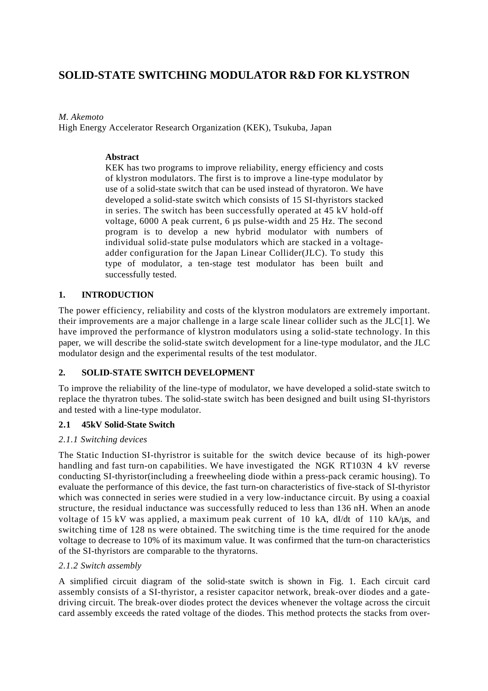# **SOLID-STATE SWITCHING MODULATOR R&D FOR KLYSTRON**

## *M. Akemoto*

High Energy Accelerator Research Organization (KEK), Tsukuba, Japan

## **Abstract**

KEK has two programs to improve reliability, energy efficiency and costs of klystron modulators. The first is to improve a line-type modulator by use of a solid-state switch that can be used instead of thyratoron. We have developed a solid-state switch which consists of 15 SI-thyristors stacked in series. The switch has been successfully operated at 45 kV hold-off voltage, 6000 A peak current, 6 µs pulse-width and 25 Hz. The second program is to develop a new hybrid modulator with numbers of individual solid-state pulse modulators which are stacked in a voltageadder configuration for the Japan Linear Collider(JLC). To study this type of modulator, a ten-stage test modulator has been built and successfully tested.

## **1. INTRODUCTION**

The power efficiency, reliability and costs of the klystron modulators are extremely important. their improvements are a major challenge in a large scale linear collider such as the JLC[1]. We have improved the performance of klystron modulators using a solid-state technology. In this paper, we will describe the solid-state switch development for a line-type modulator, and the JLC modulator design and the experimental results of the test modulator.

## **2. SOLID-STATE SWITCH DEVELOPMENT**

To improve the reliability of the line-type of modulator, we have developed a solid-state switch to replace the thyratron tubes. The solid-state switch has been designed and built using SI-thyristors and tested with a line-type modulator.

## **2.1 45kV Solid-State Switch**

## *2.1.1 Switching devices*

The Static Induction SI-thyristror is suitable for the switch device because of its high-power handling and fast turn-on capabilities. We have investigated the NGK RT103N 4 kV reverse conducting SI-thyristor(including a freewheeling diode within a press-pack ceramic housing). To evaluate the performance of this device, the fast turn-on characteristics of five-stack of SI-thyristor which was connected in series were studied in a very low-inductance circuit. By using a coaxial structure, the residual inductance was successfully reduced to less than 136 nH. When an anode voltage of 15 kV was applied, a maximum peak current of 10 kA, dI/dt of 110 kA/µs, and switching time of 128 ns were obtained. The switching time is the time required for the anode voltage to decrease to 10% of its maximum value. It was confirmed that the turn-on characteristics of the SI-thyristors are comparable to the thyratorns.

## *2.1.2 Switch assembly*

A simplified circuit diagram of the solid-state switch is shown in Fig. 1. Each circuit card assembly consists of a SI-thyristor, a resister capacitor network, break-over diodes and a gatedriving circuit. The break-over diodes protect the devices whenever the voltage across the circuit card assembly exceeds the rated voltage of the diodes. This method protects the stacks from over-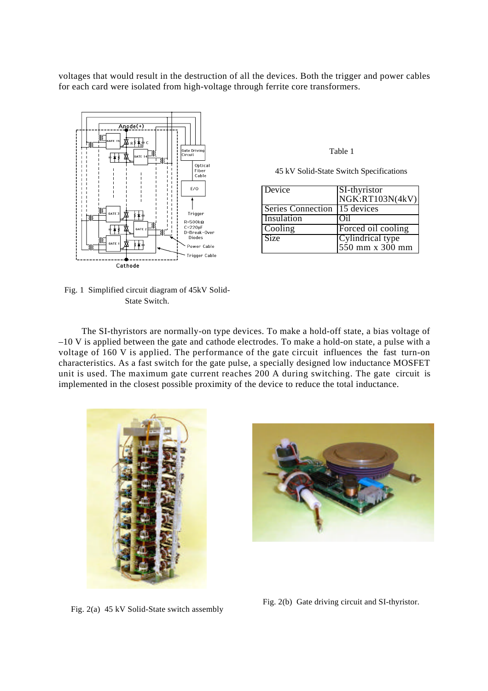voltages that would result in the destruction of all the devices. Both the trigger and power cables for each card were isolated from high-voltage through ferrite core transformers.



Fig. 1 Simplified circuit diagram of 45kV Solid-State Switch.

Table 1

45 kV Solid-State Switch Specifications

| Device            | SI-thyristor       |
|-------------------|--------------------|
|                   | NGK:RT103N(4kV)    |
| Series Connection | 15 devices         |
| Insulation        | Oil                |
| Cooling           | Forced oil cooling |
| Size              | Cylindrical type   |
|                   | 550 mm x 300 mm    |

The SI-thyristors are normally-on type devices. To make a hold-off state, a bias voltage of –10 V is applied between the gate and cathode electrodes. To make a hold-on state, a pulse with a voltage of 160 V is applied. The performance of the gate circuit influences the fast turn-on characteristics. As a fast switch for the gate pulse, a specially designed low inductance MOSFET unit is used. The maximum gate current reaches 200 A during switching. The gate circuit is implemented in the closest possible proximity of the device to reduce the total inductance.





Fig. 2(a) 45 kV Solid-State switch assembly

Fig. 2(b) Gate driving circuit and SI-thyristor.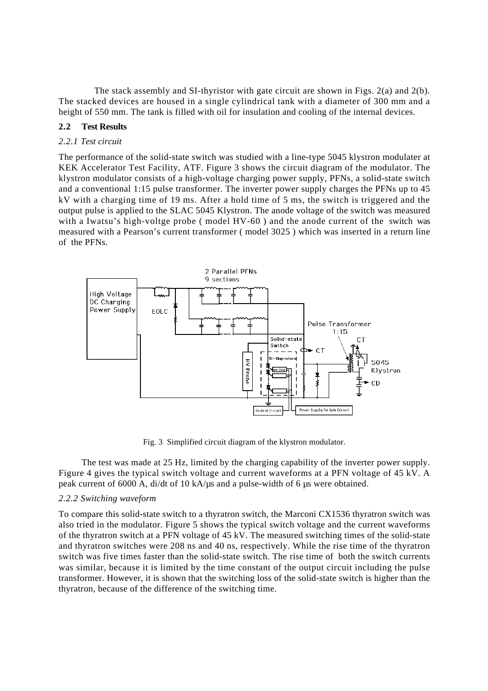The stack assembly and SI-thyristor with gate circuit are shown in Figs.  $2(a)$  and  $2(b)$ . The stacked devices are housed in a single cylindrical tank with a diameter of 300 mm and a height of 550 mm. The tank is filled with oil for insulation and cooling of the internal devices.

## **2.2 Test Results**

## *2.2.1 Test circuit*

The performance of the solid-state switch was studied with a line-type 5045 klystron modulater at KEK Accelerator Test Facility, ATF. Figure 3 shows the circuit diagram of the modulator. The klystron modulator consists of a high-voltage charging power supply, PFNs, a solid-state switch and a conventional 1:15 pulse transformer. The inverter power supply charges the PFNs up to 45 kV with a charging time of 19 ms. After a hold time of 5 ms, the switch is triggered and the output pulse is applied to the SLAC 5045 Klystron. The anode voltage of the switch was measured with a Iwatsu's high-voltge probe ( model HV-60 ) and the anode current of the switch was measured with a Pearson's current transformer ( model 3025 ) which was inserted in a return line of the PFNs.



Fig. 3 Simplified circuit diagram of the klystron modulator.

The test was made at 25 Hz, limited by the charging capability of the inverter power supply. Figure 4 gives the typical switch voltage and current waveforms at a PFN voltage of 45 kV. A peak current of 6000 A, di/dt of 10 kA/µs and a pulse-width of 6 µs were obtained.

## *2.2.2 Switching waveform*

To compare this solid-state switch to a thyratron switch, the Marconi CX1536 thyratron switch was also tried in the modulator. Figure 5 shows the typical switch voltage and the current waveforms of the thyratron switch at a PFN voltage of 45 kV. The measured switching times of the solid-state and thyratron switches were 208 ns and 40 ns, respectively. While the rise time of the thyratron switch was five times faster than the solid-state switch. The rise time of both the switch currents was similar, because it is limited by the time constant of the output circuit including the pulse transformer. However, it is shown that the switching loss of the solid-state switch is higher than the thyratron, because of the difference of the switching time.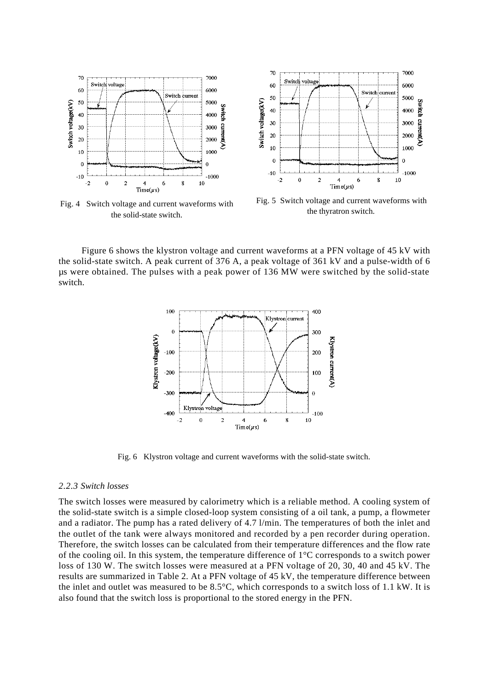

Fig. 4 Switch voltage and current waveforms with the solid-state switch.



Fig. 5 Switch voltage and current waveforms with the thyratron switch.

Figure 6 shows the klystron voltage and current waveforms at a PFN voltage of 45 kV with the solid-state switch. A peak current of 376 A, a peak voltage of 361 kV and a pulse-width of 6 µs were obtained. The pulses with a peak power of 136 MW were switched by the solid-state switch.



Fig. 6 Klystron voltage and current waveforms with the solid-state switch.

#### *2.2.3 Switch losses*

The switch losses were measured by calorimetry which is a reliable method. A cooling system of the solid-state switch is a simple closed-loop system consisting of a oil tank, a pump, a flowmeter and a radiator. The pump has a rated delivery of 4.7 l/min. The temperatures of both the inlet and the outlet of the tank were always monitored and recorded by a pen recorder during operation. Therefore, the switch losses can be calculated from their temperature differences and the flow rate of the cooling oil. In this system, the temperature difference of 1°C corresponds to a switch power loss of 130 W. The switch losses were measured at a PFN voltage of 20, 30, 40 and 45 kV. The results are summarized in Table 2. At a PFN voltage of 45 kV, the temperature difference between the inlet and outlet was measured to be 8.5°C, which corresponds to a switch loss of 1.1 kW. It is also found that the switch loss is proportional to the stored energy in the PFN.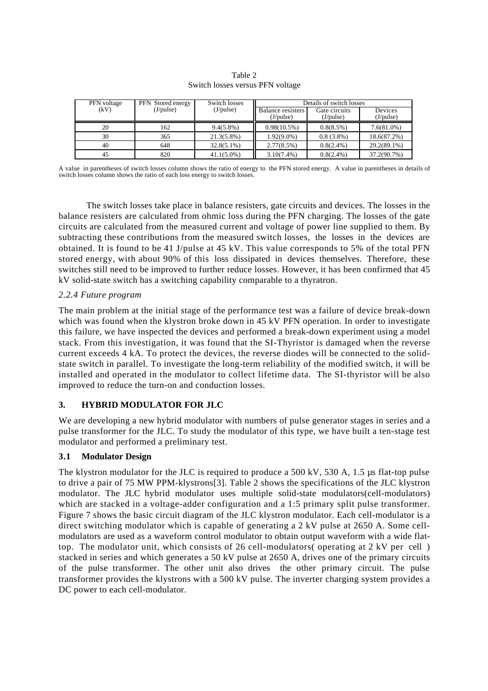| PFN voltage | <b>PFN</b> Stored energy | Switch losses | Details of switch losses |               |                 |
|-------------|--------------------------|---------------|--------------------------|---------------|-----------------|
| (kV)        | $(J$ /pulse $)$          | (J/pulse)     | <b>Balance</b> resisters | Gate circuits | Devices         |
|             |                          |               | $(J$ /pulse $)$          | (J/pulse)     | $(J$ /pulse $)$ |
| 20          | 162                      | $9.4(5.8\%)$  | 0.98(10.5%)              | 0.8(8.5%)     | $7.6(81.0\%)$   |
| 30          | 365                      | $21.3(5.8\%)$ | $1.92(9.0\%)$            | $0.8(3.8\%)$  | 18.6(87.2%)     |
| 40          | 648                      | $32.8(5.1\%)$ | 2.77(8.5%)               | $0.8(2.4\%)$  | 29.2(89.1%)     |
| 45          | 820                      | $41.1(5.0\%)$ | $3.10(7.4\%)$            | $0.8(2.4\%)$  | 37.2(90.7%)     |

Table 2 Switch losses versus PFN voltage

A value in parentheses of switch losses column shows the ratio of energy to the PFN stored energy. A value in parentheses in details of switch losses column shows the ratio of each loss energy to switch losses.

 The switch losses take place in balance resisters, gate circuits and devices. The losses in the balance resisters are calculated from ohmic loss during the PFN charging. The losses of the gate circuits are calculated from the measured current and voltage of power line supplied to them. By subtracting these contributions from the measured switch losses, the losses in the devices are obtained. It is found to be 41 J/pulse at 45 kV. This value corresponds to 5% of the total PFN stored energy, with about 90% of this loss dissipated in devices themselves. Therefore, these switches still need to be improved to further reduce losses. However, it has been confirmed that 45 kV solid-state switch has a switching capability comparable to a thyratron.

## *2.2.4 Future program*

The main problem at the initial stage of the performance test was a failure of device break-down which was found when the klystron broke down in 45 kV PFN operation. In order to investigate this failure, we have inspected the devices and performed a break-down experiment using a model stack. From this investigation, it was found that the SI-Thyristor is damaged when the reverse current exceeds 4 kA. To protect the devices, the reverse diodes will be connected to the solidstate switch in parallel. To investigate the long-term reliability of the modified switch, it will be installed and operated in the modulator to collect lifetime data. The SI-thyristor will be also improved to reduce the turn-on and conduction losses.

## **3. HYBRID MODULATOR FOR JLC**

We are developing a new hybrid modulator with numbers of pulse generator stages in series and a pulse transformer for the JLC. To study the modulator of this type, we have built a ten-stage test modulator and performed a preliminary test.

## **3.1 Modulator Design**

The klystron modulator for the JLC is required to produce a 500 kV, 530 A, 1.5 us flat-top pulse to drive a pair of 75 MW PPM-klystrons[3]. Table 2 shows the specifications of the JLC klystron modulator. The JLC hybrid modulator uses multiple solid-state modulators(cell-modulators) which are stacked in a voltage-adder configuration and a 1:5 primary split pulse transformer. Figure 7 shows the basic circuit diagram of the JLC klystron modulator. Each cell-modulator is a direct switching modulator which is capable of generating a 2 kV pulse at 2650 A. Some cellmodulators are used as a waveform control modulator to obtain output waveform with a wide flattop. The modulator unit, which consists of 26 cell-modulators( operating at 2 kV per cell ) stacked in series and which generates a 50 kV pulse at 2650 A, drives one of the primary circuits of the pulse transformer. The other unit also drives the other primary circuit. The pulse transformer provides the klystrons with a 500 kV pulse. The inverter charging system provides a DC power to each cell-modulator.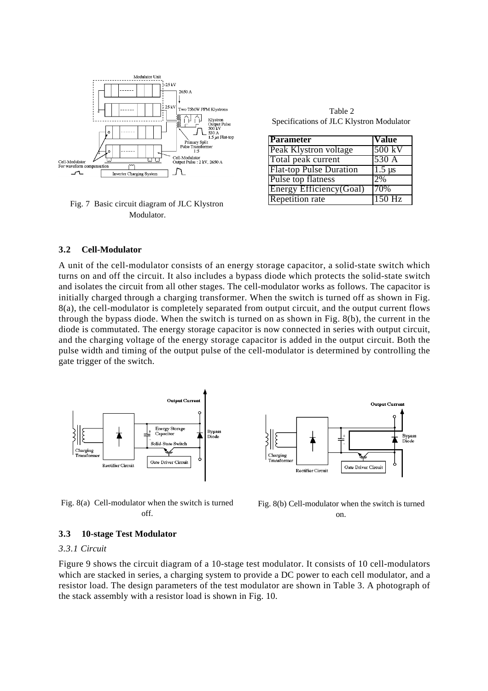

Fig. 7 Basic circuit diagram of JLC Klystron Modulator.

Table 2 Specifications of JLC Klystron Modulator

| <b>Parameter</b>               | Value         |
|--------------------------------|---------------|
| Peak Klystron voltage          | 500 kV        |
| Total peak current             | 530 A         |
| <b>Flat-top Pulse Duration</b> | $1.5 \,\mu s$ |
| Pulse top flatness             | 2%            |
| Energy Efficiency(Goal)        | <b>70%</b>    |
| <b>Repetition rate</b>         | $150$ Hz      |

### **3.2 Cell-Modulator**

A unit of the cell-modulator consists of an energy storage capacitor, a solid-state switch which turns on and off the circuit. It also includes a bypass diode which protects the solid-state switch and isolates the circuit from all other stages. The cell-modulator works as follows. The capacitor is initially charged through a charging transformer. When the switch is turned off as shown in Fig. 8(a), the cell-modulator is completely separated from output circuit, and the output current flows through the bypass diode. When the switch is turned on as shown in Fig. 8(b), the current in the diode is commutated. The energy storage capacitor is now connected in series with output circuit, and the charging voltage of the energy storage capacitor is added in the output circuit. Both the pulse width and timing of the output pulse of the cell-modulator is determined by controlling the gate trigger of the switch.



Fig. 8(a) Cell-modulator when the switch is turned off.



Fig. 8(b) Cell-modulator when the switch is turned on.

### **3.3 10-stage Test Modulator**

### *3.3.1 Circuit*

Figure 9 shows the circuit diagram of a 10-stage test modulator. It consists of 10 cell-modulators which are stacked in series, a charging system to provide a DC power to each cell modulator, and a resistor load. The design parameters of the test modulator are shown in Table 3. A photograph of the stack assembly with a resistor load is shown in Fig. 10.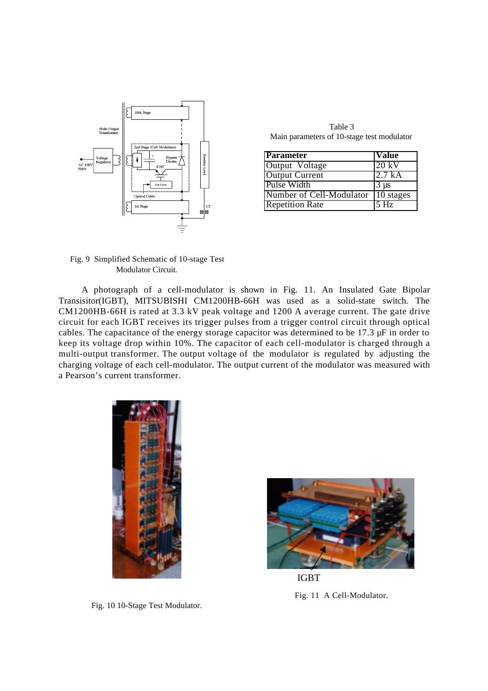

Table 3 Main parameters of 10-stage test modulator

| Parameter                          | <b>Value</b>    |
|------------------------------------|-----------------|
| Output Voltage                     | $20 \text{ kV}$ |
| <b>Output Current</b>              | 12.7 kA         |
| Pulse Width                        | $3 \mu s$       |
| Number of Cell-Modulator 10 stages |                 |
| <b>Repetition Rate</b>             | $5$ Hz          |

Fig. 9 Simplified Schematic of 10-stage Test Modulator Circuit.

A photograph of a cell-modulator is shown in Fig. 11. An Insulated Gate Bipolar Transisitor(IGBT), MITSUBISHI CM1200HB-66H was used as a solid-state switch. The CM1200HB-66H is rated at 3.3 kV peak voltage and 1200 A average current. The gate drive circuit for each IGBT receives its trigger pulses from a trigger control circuit through optical cables. The capacitance of the energy storage capacitor was determined to be 17.3 µF in order to keep its voltage drop within 10%. The capacitor of each cell-modulator is charged through a multi-output transformer. The output voltage of the modulator is regulated by adjusting the charging voltage of each cell-modulator. The output current of the modulator was measured with a Pearson's current transformer.



Fig. 10 10-Stage Test Modulator.



Fig. 11 A Cell-Modulator. IGBT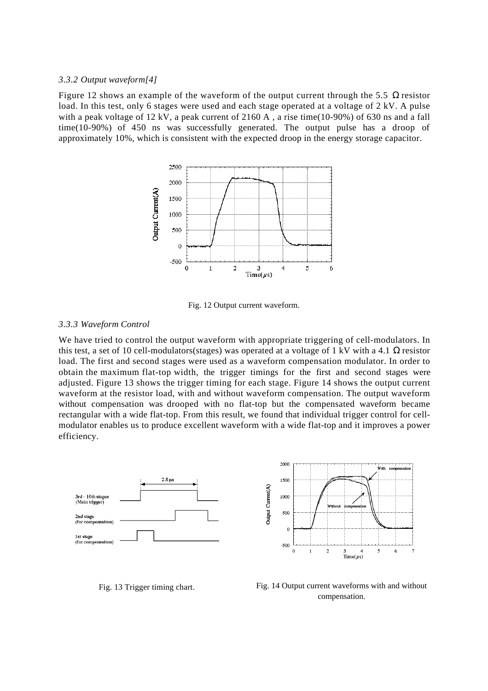#### *3.3.2 Output waveform[4]*

Figure 12 shows an example of the waveform of the output current through the 5.5 resistor load. In this test, only 6 stages were used and each stage operated at a voltage of 2 kV. A pulse with a peak voltage of 12 kV, a peak current of 2160 A , a rise time(10-90%) of 630 ns and a fall time(10-90%) of 450 ns was successfully generated. The output pulse has a droop of approximately 10%, which is consistent with the expected droop in the energy storage capacitor.



Fig. 12 Output current waveform.

### *3.3.3 Waveform Control*

We have tried to control the output waveform with appropriate triggering of cell-modulators. In this test, a set of 10 cell-modulators(stages) was operated at a voltage of 1 kV with a 4.1 resistor load. The first and second stages were used as a waveform compensation modulator. In order to obtain the maximum flat-top width, the trigger timings for the first and second stages were adjusted. Figure 13 shows the trigger timing for each stage. Figure 14 shows the output current waveform at the resistor load, with and without waveform compensation. The output waveform without compensation was drooped with no flat-top but the compensated waveform became rectangular with a wide flat-top. From this result, we found that individual trigger control for cellmodulator enables us to produce excellent waveform with a wide flat-top and it improves a power efficiency.



Fig. 13 Trigger timing chart. Fig. 14 Output current waveforms with and without compensation.